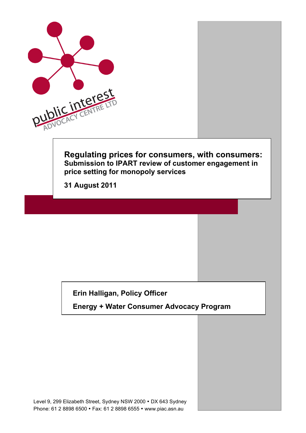

### **Erin Halligan, Policy Officer**

**Energy + Water Consumer Advocacy Program**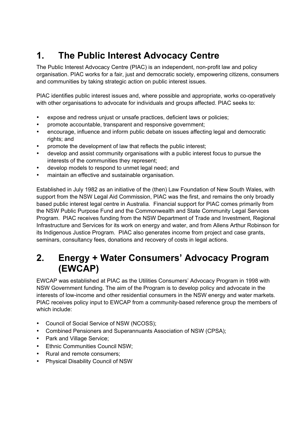# **1. The Public Interest Advocacy Centre**

The Public Interest Advocacy Centre (PIAC) is an independent, non-profit law and policy organisation. PIAC works for a fair, just and democratic society, empowering citizens, consumers and communities by taking strategic action on public interest issues.

PIAC identifies public interest issues and, where possible and appropriate, works co-operatively with other organisations to advocate for individuals and groups affected. PIAC seeks to:

- expose and redress unjust or unsafe practices, deficient laws or policies;
- promote accountable, transparent and responsive government;
- encourage, influence and inform public debate on issues affecting legal and democratic rights; and
- promote the development of law that reflects the public interest;
- develop and assist community organisations with a public interest focus to pursue the interests of the communities they represent;
- develop models to respond to unmet legal need; and
- maintain an effective and sustainable organisation.

Established in July 1982 as an initiative of the (then) Law Foundation of New South Wales, with support from the NSW Legal Aid Commission, PIAC was the first, and remains the only broadly based public interest legal centre in Australia. Financial support for PIAC comes primarily from the NSW Public Purpose Fund and the Commonwealth and State Community Legal Services Program. PIAC receives funding from the NSW Department of Trade and Investment, Regional Infrastructure and Services for its work on energy and water, and from Allens Arthur Robinson for its Indigenous Justice Program. PIAC also generates income from project and case grants, seminars, consultancy fees, donations and recovery of costs in legal actions.

## **2. Energy + Water Consumers' Advocacy Program (EWCAP)**

EWCAP was established at PIAC as the Utilities Consumers' Advocacy Program in 1998 with NSW Government funding. The aim of the Program is to develop policy and advocate in the interests of low-income and other residential consumers in the NSW energy and water markets. PIAC receives policy input to EWCAP from a community-based reference group the members of which include:

- Council of Social Service of NSW (NCOSS);
- Combined Pensioners and Superannuants Association of NSW (CPSA);
- Park and Village Service;
- Ethnic Communities Council NSW;
- Rural and remote consumers;
- Physical Disability Council of NSW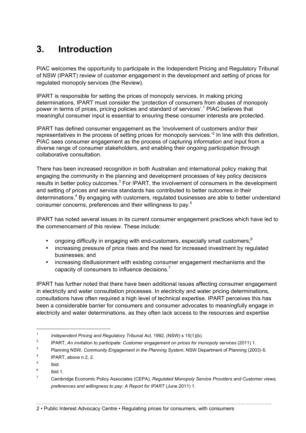# **3. Introduction**

PIAC welcomes the opportunity to participate in the Independent Pricing and Regulatory Tribunal of NSW (IPART) review of customer engagement in the development and setting of prices for regulated monopoly services (the Review).

IPART is responsible for setting the prices of monopoly services. In making pricing determinations, IPART must consider the 'protection of consumers from abuses of monopoly power in terms of prices, pricing policies and standard of services'.<sup>1</sup> PIAC believes that meaningful consumer input is essential to ensuring these consumer interests are protected.

IPART has defined consumer engagement as the 'involvement of customers and/or their representatives in the process of setting prices for monopoly services.<sup>2</sup> In line with this definition, PIAC sees consumer engagement as the process of capturing information and input from a diverse range of consumer stakeholders, and enabling their ongoing participation through collaborative consultation.

There has been increased recognition in both Australian and international policy making that engaging the community in the planning and development processes of key policy decisions results in better policy outcomes.<sup>3</sup> For IPART, the involvement of consumers in the development and setting of prices and service standards has contributed to better outcomes in their determinations.<sup>4</sup> By engaging with customers, regulated businesses are able to better understand consumer concerns, preferences and their willingness to pay.5

IPART has noted several issues in its current consumer engagement practices which have led to the commencement of this review. These include:

- ongoing difficulty in engaging with end-customers, especially small customers; $6$
- increasing pressure of price rises and the need for increased investment by regulated businesses; and
- increasing disillusionment with existing consumer engagement mechanisms and the capacity of consumers to influence decisions.<sup>7</sup>

IPART has further noted that there have been additional issues affecting consumer engagement in electricity and water consultation processes. In electricity and water pricing determinations, consultations have often required a high level of technical expertise. IPART perceives this has been a considerable barrier for consumers and consumer advocates to meaningfully engage in electricity and water determinations, as they often lack access to the resources and expertise

<sup>&</sup>lt;sup>1</sup> *Independent Pricing and Regulatory Tribunal Act, 1992, (NSW) s 15(1)(b).* 

<sup>2</sup> IPART, *An invitation to participate: Customer engagement on prices for monopoly services* (2011) 1.

<sup>3</sup> Planning NSW, *Community Engagement in the Planning System*, NSW Department of Planning (2003) 6.

<sup>4</sup> IPART, above n 2, 2.

<sup>5</sup> Ibid.

 $6$  Ibid 1.

<sup>7</sup> Cambridge Economic Policy Associates (CEPA), *Regulated Monopoly Service Providers and Customer views, preferences and willingness to pay: A Report for IPART* (June 2011) 1.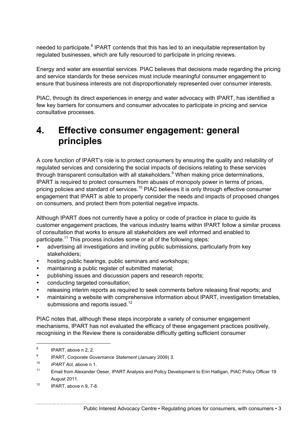needed to participate.<sup>8</sup> IPART contends that this has led to an inequitable representation by regulated businesses, which are fully resourced to participate in pricing reviews.

Energy and water are essential services. PIAC believes that decisions made regarding the pricing and service standards for these services must include meaningful consumer engagement to ensure that business interests are not disproportionately represented over consumer interests.

PIAC, through its direct experiences in energy and water advocacy with IPART, has identified a few key barriers for consumers and consumer advocates to participate in pricing and service consultative processes.

## **4. Effective consumer engagement: general principles**

A core function of IPART's role is to protect consumers by ensuring the quality and reliability of regulated services and considering the social impacts of decisions relating to these services through transparent consultation with all stakeholders.<sup>9</sup> When making price determinations, IPART is required to protect consumers from abuses of monopoly power in terms of prices, pricing policies and standard of services.<sup>10</sup> PIAC believes it is only through effective consumer engagement that IPART is able to properly consider the needs and impacts of proposed changes on consumers, and protect them from potential negative impacts.

Although IPART does not currently have a policy or code of practice in place to guide its customer engagement practices, the various industry teams within IPART follow a similar process of consultation that works to ensure all stakeholders are well informed and enabled to participate.<sup>11</sup> This process includes some or all of the following steps:

- advertising all investigations and inviting public submissions, particularly from key stakeholders;
- hosting public hearings, public seminars and workshops;
- maintaining a public register of submitted material;
- publishing issues and discussion papers and research reports;
- conducting targeted consultation;
- releasing interim reports as required to seek comments before releasing final reports; and
- maintaining a website with comprehensive information about IPART, investigation timetables, submissions and reports issued.<sup>12</sup>

PIAC notes that, although these steps incorporate a variety of consumer engagement mechanisms, IPART has not evaluated the efficacy of these engagement practices positively, recognising in the Review there is considerable difficulty getting sufficient consumer

 $8$  IPART, above n 2, 2.

<sup>9</sup> IPART, *Corporate Governance Statement* (January 2009) 3.

<sup>10</sup> *IPART Act,* above n 1.

<sup>&</sup>lt;sup>11</sup> Email from Alexander Oeser, IPART Analysis and Policy Development to Erin Halligan, PIAC Policy Officer 19 August 2011.

 $12$  IPART, above n 9, 7-8.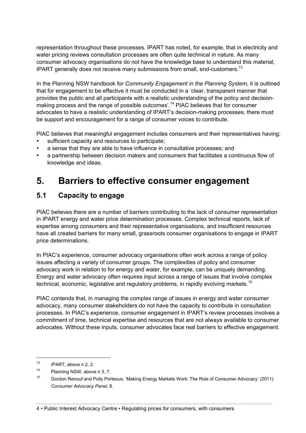representation throughout these processes. IPART has noted, for example, that in electricity and water pricing reviews consultation processes are often quite technical in nature. As many consumer advocacy organisations do not have the knowledge base to understand this material, IPART generally does not receive many submissions from small, end-customers.<sup>13</sup>

In the Planning NSW handbook for *Community Engagement in the Planning System*, it is outlined that for engagement to be effective it must be conducted in a 'clear, transparent manner that provides the public and all participants with a realistic understanding of the policy and decisionmaking process and the range of possible outcomes'.<sup>14</sup> PIAC believes that for consumer advocates to have a realistic understanding of IPART's decision-making processes, there must be support and encouragement for a range of consumer voices to contribute.

PIAC believes that meaningful engagement includes consumers and their representatives having:

- sufficient capacity and resources to participate;
- a sense that they are able to have influence in consultative processes; and
- a partnership between decision makers and consumers that facilitates a continuous flow of knowledge and ideas.

# **5. Barriers to effective consumer engagement**

### **5.1 Capacity to engage**

PIAC believes there are a number of barriers contributing to the lack of consumer representation in IPART energy and water price determination processes. Complex technical reports, lack of expertise among consumers and their representative organisations, and insufficient resources have all created barriers for many small, grassroots consumer organisations to engage in IPART price determinations.

In PIAC's experience, consumer advocacy organisations often work across a range of policy issues affecting a variety of consumer groups. The complexities of policy and consumer advocacy work in relation to for energy and water, for example, can be uniquely demanding. Energy and water advocacy often requires input across a range of issues that involve complex technical, economic, legislative and regulatory problems, in rapidly evolving markets.<sup>15</sup>

PIAC contends that, in managing the complex range of issues in energy and water consumer advocacy, many consumer stakeholders do not have the capacity to contribute in consultation processes. In PIAC's experience, consumer engagement in IPART's review processes involves a commitment of time, technical expertise and resources that are not always available to consumer advocates. Without these inputs, consumer advocates face real barriers to effective engagement.

 $13$  IPART, above n 2, 2.

<sup>14</sup> Planning NSW, above n 3, 7.

<sup>15</sup> Gordon Renouf and Polly Porteous, 'Making Energy Markets Work: The Role of Consumer Advocacy' (2011) *Consumer Advocacy Panel*, 8.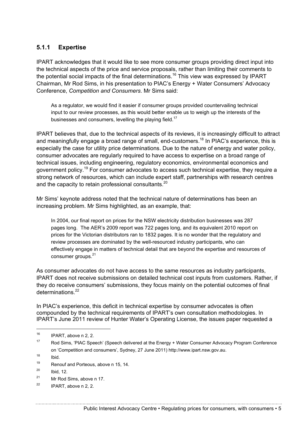### **5.1.1 Expertise**

IPART acknowledges that it would like to see more consumer groups providing direct input into the technical aspects of the price and service proposals, rather than limiting their comments to the potential social impacts of the final determinations.<sup>16</sup> This view was expressed by IPART Chairman, Mr Rod Sims, in his presentation to PIAC's Energy + Water Consumers' Advocacy Conference, *Competition and Consumers*. Mr Sims said:

As a regulator, we would find it easier if consumer groups provided countervailing technical input to our review processes, as this would better enable us to weigh up the interests of the businesses and consumers, levelling the playing field.<sup>17</sup>

IPART believes that, due to the technical aspects of its reviews, it is increasingly difficult to attract and meaningfully engage a broad range of small, end-customers.<sup>18</sup> In PIAC's experience, this is especially the case for utility price determinations. Due to the nature of energy and water policy, consumer advocates are regularly required to have access to expertise on a broad range of technical issues, including engineering, regulatory economics, environmental economics and government policy.<sup>19</sup> For consumer advocates to access such technical expertise, they require a strong network of resources, which can include expert staff, partnerships with research centres and the capacity to retain professional consultants.<sup>20</sup>

Mr Sims' keynote address noted that the technical nature of determinations has been an increasing problem. Mr Sims highlighted, as an example, that:

In 2004, our final report on prices for the NSW electricity distribution businesses was 287 pages long. The AER's 2009 report was 722 pages long, and its equivalent 2010 report on prices for the Victorian distributors ran to 1832 pages. It is no wonder that the regulatory and review processes are dominated by the well-resourced industry participants, who can effectively engage in matters of technical detail that are beyond the expertise and resources of consumer groups.<sup>21</sup>

As consumer advocates do not have access to the same resources as industry participants, IPART does not receive submissions on detailed technical cost inputs from customers. Rather, if they do receive consumers' submissions, they focus mainly on the potential outcomes of final determinations.<sup>22</sup>

In PIAC's experience, this deficit in technical expertise by consumer advocates is often compounded by the technical requirements of IPART's own consultation methodologies. In IPART's June 2011 review of Hunter Water's Operating License, the issues paper requested a

 $16$  IPART, above n 2, 2.

<sup>17</sup> Rod Sims, 'PIAC Speech' (Speech delivered at the Energy + Water Consumer Advocacy Program Conference on 'Competition and consumers', Sydney, 27 June 2011) http://www.ipart.nsw.gov.au.

 $18$  Ibid.

<sup>19</sup> Renouf and Porteous, above n 15, 14.

 $^{20}$  Ibid, 12.

<sup>21</sup> Mr Rod Sims, above n 17.

 $22$  IPART, above n 2, 2.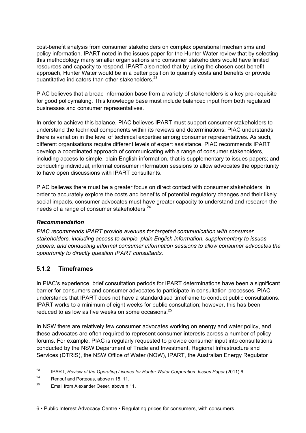cost-benefit analysis from consumer stakeholders on complex operational mechanisms and policy information. IPART noted in the issues paper for the Hunter Water review that by selecting this methodology many smaller organisations and consumer stakeholders would have limited resources and capacity to respond. IPART also noted that by using the chosen cost-benefit approach, Hunter Water would be in a better position to quantify costs and benefits or provide quantitative indicators than other stakeholders.<sup>23</sup>

PIAC believes that a broad information base from a variety of stakeholders is a key pre-requisite for good policymaking. This knowledge base must include balanced input from both regulated businesses and consumer representatives.

In order to achieve this balance, PIAC believes IPART must support consumer stakeholders to understand the technical components within its reviews and determinations. PIAC understands there is variation in the level of technical expertise among consumer representatives. As such, different organisations require different levels of expert assistance. PIAC recommends IPART develop a coordinated approach of communicating with a range of consumer stakeholders, including access to simple, plain English information, that is supplementary to issues papers; and conducting individual, informal consumer information sessions to allow advocates the opportunity to have open discussions with IPART consultants.

PIAC believes there must be a greater focus on direct contact with consumer stakeholders. In order to accurately explore the costs and benefits of potential regulatory changes and their likely social impacts, consumer advocates must have greater capacity to understand and research the needs of a range of consumer stakeholders.<sup>24</sup>

#### *Recommendation*

*PIAC recommends IPART provide avenues for targeted communication with consumer stakeholders, including access to simple, plain English information, supplementary to issues papers, and conducting informal consumer information sessions to allow consumer advocates the opportunity to directly question IPART consultants.*

### **5.1.2 Timeframes**

In PIAC's experience, brief consultation periods for IPART determinations have been a significant barrier for consumers and consumer advocates to participate in consultation processes. PIAC understands that IPART does not have a standardised timeframe to conduct public consultations. IPART works to a minimum of eight weeks for public consultation; however, this has been reduced to as low as five weeks on some occasions.<sup>25</sup>

In NSW there are relatively few consumer advocates working on energy and water policy, and these advocates are often required to represent consumer interests across a number of policy forums. For example, PIAC is regularly requested to provide consumer input into consultations conducted by the NSW Department of Trade and Investment, Regional Infrastructure and Services (DTRIS), the NSW Office of Water (NOW), IPART, the Australian Energy Regulator

<sup>24</sup> Renouf and Porteous, above n 15, 11.

<sup>&</sup>lt;sup>23</sup> IPART, *Review of the Operating Licence for Hunter Water Corporation: Issues Paper* (2011) 6.

 $25$  Email from Alexander Oeser, above n 11.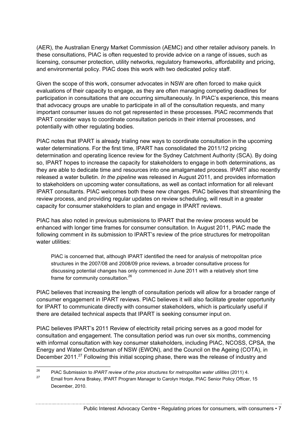(AER), the Australian Energy Market Commission (AEMC) and other retailer advisory panels. In these consultations, PIAC is often requested to provide advice on a range of issues, such as licensing, consumer protection, utility networks, regulatory frameworks, affordability and pricing, and environmental policy. PIAC does this work with two dedicated policy staff.

Given the scope of this work, consumer advocates in NSW are often forced to make quick evaluations of their capacity to engage, as they are often managing competing deadlines for participation in consultations that are occurring simultaneously. In PIAC's experience, this means that advocacy groups are unable to participate in all of the consultation requests, and many important consumer issues do not get represented in these processes. PIAC recommends that IPART consider ways to coordinate consultation periods in their internal processes, and potentially with other regulating bodies.

PIAC notes that IPART is already trialing new ways to coordinate consultation in the upcoming water determinations. For the first time, IPART has consolidated the 2011/12 pricing determination and operating licence review for the Sydney Catchment Authority (SCA). By doing so, IPART hopes to increase the capacity for stakeholders to engage in both determinations, as they are able to dedicate time and resources into one amalgamated process. IPART also recently released a water bulletin. *In the pipeline* was released in August 2011, and provides information to stakeholders on upcoming water consultations, as well as contact information for all relevant IPART consultants. PIAC welcomes both these new changes. PIAC believes that streamlining the review process, and providing regular updates on review scheduling, will result in a greater capacity for consumer stakeholders to plan and engage in IPART reviews.

PIAC has also noted in previous submissions to IPART that the review process would be enhanced with longer time frames for consumer consultation. In August 2011, PIAC made the following comment in its submission to IPART's review of the price structures for metropolitan water utilities:

PIAC is concerned that, although IPART identified the need for analysis of metropolitan price structures in the 2007/08 and 2008/09 price reviews, a broader consultative process for discussing potential changes has only commenced in June 2011 with a relatively short time frame for community consultation.<sup>26</sup>

PIAC believes that increasing the length of consultation periods will allow for a broader range of consumer engagement in IPART reviews. PIAC believes it will also facilitate greater opportunity for IPART to communicate directly with consumer stakeholders, which is particularly useful if there are detailed technical aspects that IPART is seeking consumer input on.

PIAC believes IPART's 2011 Review of electricity retail pricing serves as a good model for consultation and engagement. The consultation period was run over six months, commencing with informal consultation with key consumer stakeholders, including PIAC, NCOSS, CPSA, the Energy and Water Ombudsman of NSW (EWON), and the Council on the Ageing (COTA), in December 2011.<sup>27</sup> Following this initial scoping phase, there was the release of industry and

 <sup>26</sup> PIAC Submission to *IPART review of the price structures for metropolitan water utilities* (2011) 4.

<sup>&</sup>lt;sup>27</sup> Email from Anna Brakey, IPART Program Manager to Carolyn Hodge, PIAC Senior Policy Officer, 15 December, 2010.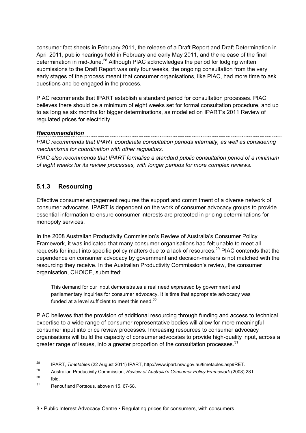consumer fact sheets in February 2011, the release of a Draft Report and Draft Determination in April 2011, public hearings held in February and early May 2011, and the release of the final determination in mid-June.<sup>28</sup> Although PIAC acknowledges the period for lodging written submissions to the Draft Report was only four weeks, the ongoing consultation from the very early stages of the process meant that consumer organisations, like PIAC, had more time to ask questions and be engaged in the process.

PIAC recommends that IPART establish a standard period for consultation processes. PIAC believes there should be a minimum of eight weeks set for formal consultation procedure, and up to as long as six months for bigger determinations, as modelled on IPART's 2011 Review of regulated prices for electricity.

#### *Recommendation*

*PIAC recommends that IPART coordinate consultation periods internally, as well as considering mechanisms for coordination with other regulators.*

*PIAC also recommends that IPART formalise a standard public consultation period of a minimum of eight weeks for its review processes, with longer periods for more complex reviews.*

### **5.1.3 Resourcing**

Effective consumer engagement requires the support and commitment of a diverse network of consumer advocates. IPART is dependent on the work of consumer advocacy groups to provide essential information to ensure consumer interests are protected in pricing determinations for monopoly services.

In the 2008 Australian Productivity Commission's Review of Australia's Consumer Policy Framework, it was indicated that many consumer organisations had felt unable to meet all requests for input into specific policy matters due to a lack of resources.<sup>29</sup> PIAC contends that the dependence on consumer advocacy by government and decision-makers is not matched with the resourcing they receive. In the Australian Productivity Commission's review, the consumer organisation, CHOICE, submitted:

This demand for our input demonstrates a real need expressed by government and parliamentary inquiries for consumer advocacy. It is time that appropriate advocacy was funded at a level sufficient to meet this need. $30$ 

PIAC believes that the provision of additional resourcing through funding and access to technical expertise to a wide range of consumer representative bodies will allow for more meaningful consumer input into price review processes. Increasing resources to consumer advocacy organisations will build the capacity of consumer advocates to provide high-quality input, across a greater range of issues, into a greater proportion of the consultation processes. $31$ 

 $30$  Ibid.

 <sup>28</sup> IPART, *Timetables* (22 August 2011) IPART, http://www.ipart.nsw.gov.au/timetables.asp#RET.

<sup>29</sup> Australian Productivity Commission, *Review of Australia's Consumer Policy Framework* (2008) 281.

<sup>&</sup>lt;sup>31</sup> Renouf and Porteous, above n 15, 67-68.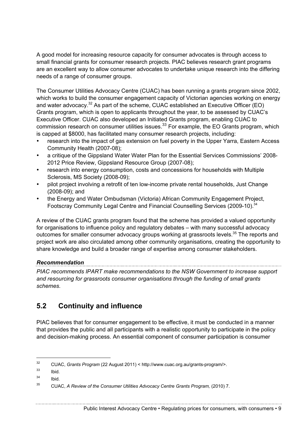A good model for increasing resource capacity for consumer advocates is through access to small financial grants for consumer research projects. PIAC believes research grant programs are an excellent way to allow consumer advocates to undertake unique research into the differing needs of a range of consumer groups.

The Consumer Utilities Advocacy Centre (CUAC) has been running a grants program since 2002, which works to build the consumer engagement capacity of Victorian agencies working on energy and water advocacy.<sup>32</sup> As part of the scheme, CUAC established an Executive Officer (EO) Grants program, which is open to applicants throughout the year, to be assessed by CUAC's Executive Officer. CUAC also developed an Initiated Grants program, enabling CUAC to commission research on consumer utilities issues.<sup>33</sup> For example, the EO Grants program, which is capped at \$8000, has facilitated many consumer research projects, including:

- research into the impact of gas extension on fuel poverty in the Upper Yarra, Eastern Access Community Health (2007-08);
- a critique of the Gippsland Water Water Plan for the Essential Services Commissions' 2008- 2012 Price Review, Gippsland Resource Group (2007-08);
- research into energy consumption, costs and concessions for households with Multiple Sclerosis, MS Society (2008-09);
- pilot project involving a retrofit of ten low-income private rental households, Just Change (2008-09); and
- the Energy and Water Ombudsman (Victoria) African Community Engagement Project, Footscray Community Legal Centre and Financial Counselling Services (2009-10).<sup>34</sup>

A review of the CUAC grants program found that the scheme has provided a valued opportunity for organisations to influence policy and regulatory debates – with many successful advocacy outcomes for smaller consumer advocacy groups working at grassroots levels.<sup>35</sup> The reports and project work are also circulated among other community organisations, creating the opportunity to share knowledge and build a broader range of expertise among consumer stakeholders.

#### *Recommendation*

*PIAC recommends IPART make recommendations to the NSW Government to increase support and resourcing for grassroots consumer organisations through the funding of small grants schemes.*

### **5.2 Continuity and influence**

PIAC believes that for consumer engagement to be effective, it must be conducted in a manner that provides the public and all participants with a realistic opportunity to participate in the policy and decision-making process. An essential component of consumer participation is consumer

 <sup>32</sup> CUAC, *Grants Program* (22 August 2011) < http://www.cuac.org.au/grants-program/>.

 $33$  Ibid.

 $34$  Ibid.

<sup>&</sup>lt;sup>35</sup> CUAC, A Review of the Consumer Utilities Advocacy Centre Grants Program, (2010) 7.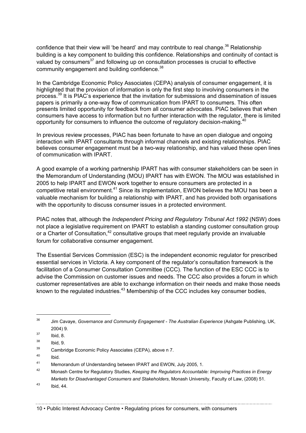confidence that their view will 'be heard' and may contribute to real change.<sup>36</sup> Relationship building is a key component to building this confidence. Relationships and continuity of contact is valued by consumers $37$  and following up on consultation processes is crucial to effective community engagement and building confidence.<sup>38</sup>

In the Cambridge Economic Policy Associates (CEPA) analysis of consumer engagement, it is highlighted that the provision of information is only the first step to involving consumers in the process.<sup>39</sup> It is PIAC's experience that the invitation for submissions and dissemination of issues papers is primarily a one-way flow of communication from IPART to consumers. This often presents limited opportunity for feedback from all consumer advocates. PIAC believes that when consumers have access to information but no further interaction with the regulator, there is limited opportunity for consumers to influence the outcome of regulatory decision-making.<sup>40</sup>

In previous review processes, PIAC has been fortunate to have an open dialogue and ongoing interaction with IPART consultants through informal channels and existing relationships. PIAC believes consumer engagement must be a two-way relationship, and has valued these open lines of communication with IPART.

A good example of a working partnership IPART has with consumer stakeholders can be seen in the Memorandum of Understanding (MOU) IPART has with EWON. The MOU was established in 2005 to help IPART and EWON work together to ensure consumers are protected in a competitive retail environment.<sup>41</sup> Since its implementation, EWON believes the MOU has been a valuable mechanism for building a relationship with IPART, and has provided both organisations with the opportunity to discuss consumer issues in a protected environment.

PIAC notes that, although the *Independent Pricing and Regulatory Tribunal Act 1992* (NSW) does not place a legislative requirement on IPART to establish a standing customer consultation group or a Charter of Consultation,<sup>42</sup> consultative groups that meet regularly provide an invaluable forum for collaborative consumer engagement.

The Essential Services Commission (ESC) is the independent economic regulator for prescribed essential services in Victoria. A key component of the regulator's consultation framework is the facilitation of a Consumer Consultation Committee (CCC). The function of the ESC CCC is to advise the Commission on customer issues and needs. The CCC also provides a forum in which customer representatives are able to exchange information on their needs and make those needs known to the regulated industries.<sup>43</sup> Membership of the CCC includes key consumer bodies,

 <sup>36</sup> Jim Cavaye, *Governance and Community Engagement - The Australian Experience* (Ashgate Publishing, UK, 2004) 9.

 $37$  Ibid, 8.

<sup>38</sup> Ibid, 9.

<sup>&</sup>lt;sup>39</sup> Cambridge Economic Policy Associates (CEPA), above n 7.

 $40$  Ibid.

<sup>41</sup> Memorandum of Understanding between IPART and EWON, July 2005, 1.

<sup>42</sup> Monash Centre for Regulatory Studies, *Keeping the Regulators Accountable: Improving Practices in Energy Markets for Disadvantaged Consumers and Stakeholders*, Monash University, Faculty of Law, (2008) 51.

<sup>43</sup> Ibid, 44.